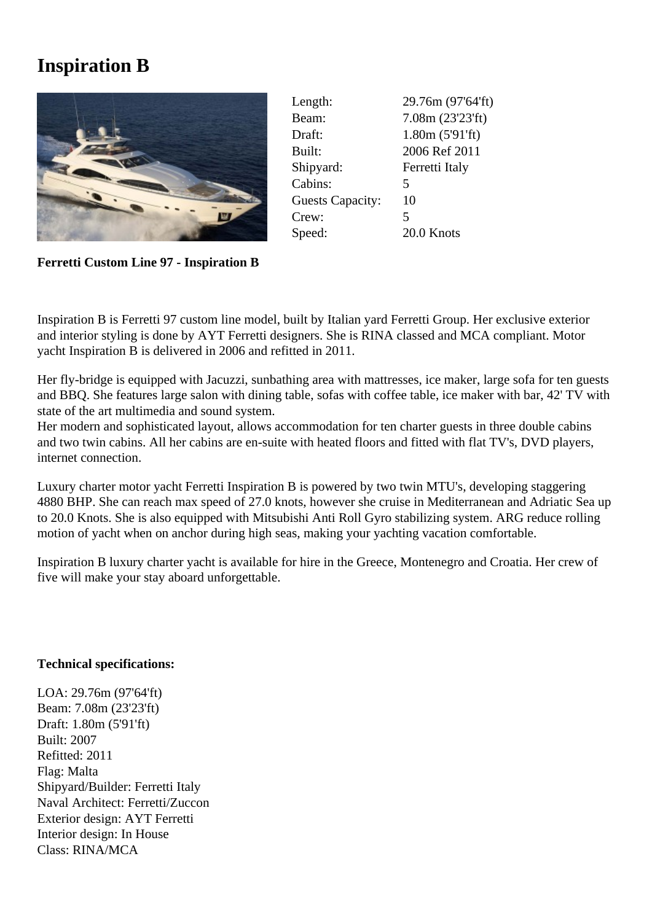## **Inspiration B**



| Length:                 | 29.76m (97'64'ft) |
|-------------------------|-------------------|
| Beam:                   | 7.08m(23'23'ft)   |
| Draft:                  | 1.80m(5'91'ft)    |
| Built:                  | 2006 Ref 2011     |
| Shipyard:               | Ferretti Italy    |
| Cabins:                 | 5                 |
| <b>Guests Capacity:</b> | 10                |
| Crew:                   | 5                 |
| Speed:                  | 20.0 Knots        |
|                         |                   |

**Ferretti Custom Line 97 - Inspiration B**

Inspiration B is Ferretti 97 custom line model, built by Italian yard Ferretti Group. Her exclusive exterior and interior styling is done by AYT Ferretti designers. She is RINA classed and MCA compliant. Motor yacht Inspiration B is delivered in 2006 and refitted in 2011.

Her fly-bridge is equipped with Jacuzzi, sunbathing area with mattresses, ice maker, large sofa for ten guests and BBQ. She features large salon with dining table, sofas with coffee table, ice maker with bar, 42' TV with state of the art multimedia and sound system.

Her modern and sophisticated layout, allows accommodation for ten charter guests in three double cabins and two twin cabins. All her cabins are en-suite with heated floors and fitted with flat TV's, DVD players, internet connection.

Luxury charter motor yacht Ferretti Inspiration B is powered by two twin MTU's, developing staggering 4880 BHP. She can reach max speed of 27.0 knots, however she cruise in Mediterranean and Adriatic Sea up to 20.0 Knots. She is also equipped with Mitsubishi Anti Roll Gyro stabilizing system. ARG reduce rolling motion of yacht when on anchor during high seas, making your yachting vacation comfortable.

Inspiration B luxury charter yacht is available for hire in the Greece, Montenegro and Croatia. Her crew of five will make your stay aboard unforgettable.

## **Technical specifications:**

LOA: 29.76m (97'64'ft) Beam: 7.08m (23'23'ft) Draft: 1.80m (5'91'ft) Built: 2007 Refitted: 2011 Flag: Malta Shipyard/Builder: Ferretti Italy Naval Architect: Ferretti/Zuccon Exterior design: AYT Ferretti Interior design: In House Class: RINA/MCA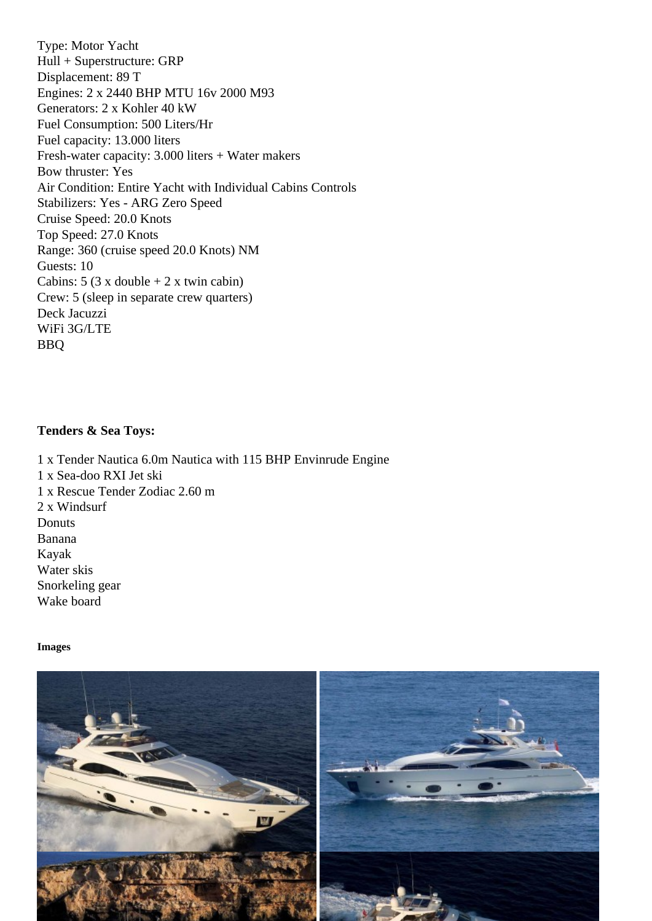Hull + Superstructure: GRP Displacement: 89 T Engines: 2 x 2440 BHP MTU 16v 2000 M93 Generators: 2 x Kohler 40 kW Fuel Consumption: 500 Liters/Hr Fuel capacity: 13.000 liters Fresh-water capacity: 3.000 liters + Water makers Bow thruster: Yes Air Condition: Entire Yacht with Individual Cabins Controls Stabilizers: Yes - ARG Zero Speed Cruise Speed: 20.0 Knots Top Speed: 27.0 Knots Range: 360 (cruise speed 20.0 Knots) NM Guests: 10 Cabins:  $5$  (3 x double  $+ 2$  x twin cabin) Crew: 5 (sleep in separate crew quarters) Deck Jacuzzi WiFi 3G/LTE BBQ

Tenders & Sea Toys:

1 x Tender Nautica 6.0m Nautica with 115 BHP Envinrude Engine 1 x Sea-doo RXI Jet ski 1 x Rescue Tender Zodiac 2.60 m 2 x Windsurf **Donuts** Banana Kayak Water skis Snorkeling gear Wake board

Images